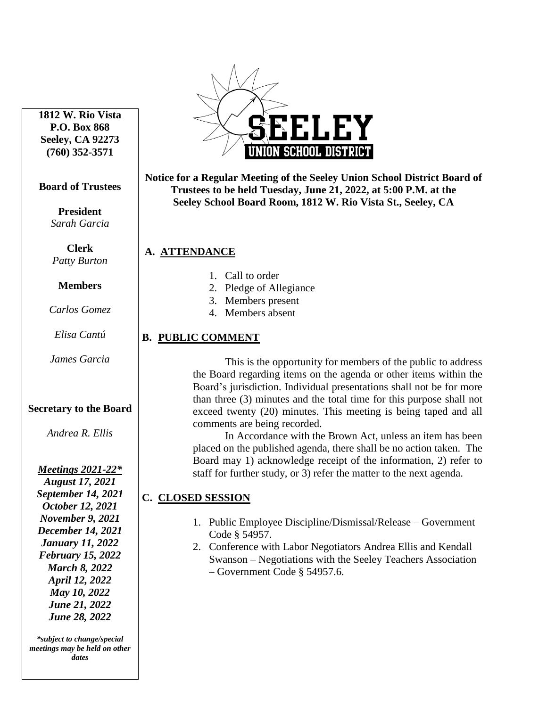**1812 W. Rio Vista P.O. Box 868 Seeley, CA 92273 (760) 352-3571**

#### **Board of Trustees**

**President** *Sarah Garcia*

**Clerk** *Patty Burton*

**Members**

*Carlos Gomez*

*Elisa Cantú*

*James Garcia*

### **Secretary to the Board**

*Andrea R. Ellis*

*Meetings 2021-22\* August 17, 2021 September 14, 2021 October 12, 2021 November 9, 2021 December 14, 2021 January 11, 2022 February 15, 2022 March 8, 2022 April 12, 2022 May 10, 2022 June 21, 2022 June 28, 2022*

*\*subject to change/special meetings may be held on other dates*



**Notice for a Regular Meeting of the Seeley Union School District Board of Trustees to be held Tuesday, June 21, 2022, at 5:00 P.M. at the Seeley School Board Room, 1812 W. Rio Vista St., Seeley, CA**

## **a. A. ATTENDANCE**

- 1. Call to order
- 2. Pledge of Allegiance
- 3. Members present
- 4. Members absent

## **B. PUBLIC COMMENT**

This is the opportunity for members of the public to address the Board regarding items on the agenda or other items within the Board's jurisdiction. Individual presentations shall not be for more than three (3) minutes and the total time for this purpose shall not exceed twenty (20) minutes. This meeting is being taped and all comments are being recorded.

In Accordance with the Brown Act, unless an item has been placed on the published agenda, there shall be no action taken. The Board may 1) acknowledge receipt of the information, 2) refer to staff for further study, or 3) refer the matter to the next agenda.

# **C. CLOSED SESSION**

- 1. Public Employee Discipline/Dismissal/Release Government Code § 54957.
- 2. Conference with Labor Negotiators Andrea Ellis and Kendall Swanson – Negotiations with the Seeley Teachers Association – Government Code § 54957.6.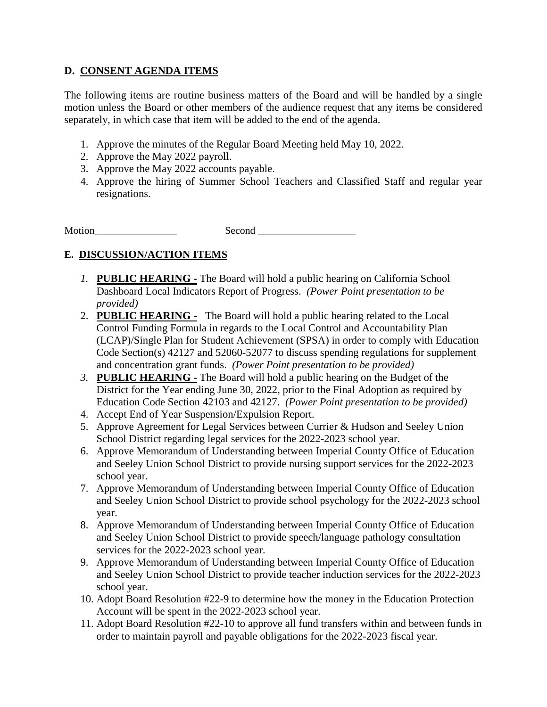## **D. CONSENT AGENDA ITEMS**

The following items are routine business matters of the Board and will be handled by a single motion unless the Board or other members of the audience request that any items be considered separately, in which case that item will be added to the end of the agenda.

- 1. Approve the minutes of the Regular Board Meeting held May 10, 2022.
- 2. Approve the May 2022 payroll.
- 3. Approve the May 2022 accounts payable.
- 4. Approve the hiring of Summer School Teachers and Classified Staff and regular year resignations.

Motion Second

## **E. DISCUSSION/ACTION ITEMS**

- *1.* **PUBLIC HEARING -** The Board will hold a public hearing on California School Dashboard Local Indicators Report of Progress. *(Power Point presentation to be provided)*
- 2. **PUBLIC HEARING -** The Board will hold a public hearing related to the Local Control Funding Formula in regards to the Local Control and Accountability Plan (LCAP)/Single Plan for Student Achievement (SPSA) in order to comply with Education Code Section(s) 42127 and 52060-52077 to discuss spending regulations for supplement and concentration grant funds. *(Power Point presentation to be provided)*
- *3.* **PUBLIC HEARING -** The Board will hold a public hearing on the Budget of the District for the Year ending June 30, 2022, prior to the Final Adoption as required by Education Code Section 42103 and 42127. *(Power Point presentation to be provided)*
- 4. Accept End of Year Suspension/Expulsion Report.
- 5. Approve Agreement for Legal Services between Currier & Hudson and Seeley Union School District regarding legal services for the 2022-2023 school year.
- 6. Approve Memorandum of Understanding between Imperial County Office of Education and Seeley Union School District to provide nursing support services for the 2022-2023 school year.
- 7. Approve Memorandum of Understanding between Imperial County Office of Education and Seeley Union School District to provide school psychology for the 2022-2023 school year.
- 8. Approve Memorandum of Understanding between Imperial County Office of Education and Seeley Union School District to provide speech/language pathology consultation services for the 2022-2023 school year.
- 9. Approve Memorandum of Understanding between Imperial County Office of Education and Seeley Union School District to provide teacher induction services for the 2022-2023 school year.
- 10. Adopt Board Resolution #22-9 to determine how the money in the Education Protection Account will be spent in the 2022-2023 school year.
- 11. Adopt Board Resolution #22-10 to approve all fund transfers within and between funds in order to maintain payroll and payable obligations for the 2022-2023 fiscal year.